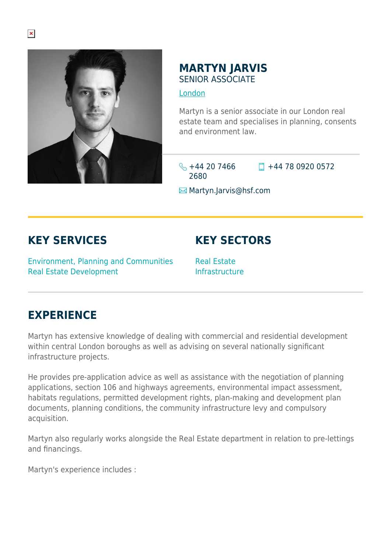

## **MARTYN JARVIS** SENIOR ASSOCIATE

## [London](https://www.herbertsmithfreehills.com/where-we-work/london)

Martyn is a senior associate in our London real estate team and specialises in planning, consents and environment law.

 $\leftarrow$  +44 20 7466 2680

 $\Box$  +44 78 0920 0572

**E**Martyn.Jarvis@hsf.com

## **KEY SERVICES**

Environment, Planning and Communities Real Estate Development

**KEY SECTORS**

Real Estate Infrastructure

## **EXPERIENCE**

Martyn has extensive knowledge of dealing with commercial and residential development within central London boroughs as well as advising on several nationally significant infrastructure projects.

He provides pre-application advice as well as assistance with the negotiation of planning applications, section 106 and highways agreements, environmental impact assessment, habitats regulations, permitted development rights, plan-making and development plan documents, planning conditions, the community infrastructure levy and compulsory acquisition.

Martyn also regularly works alongside the Real Estate department in relation to pre-lettings and financings.

Martyn's experience includes :